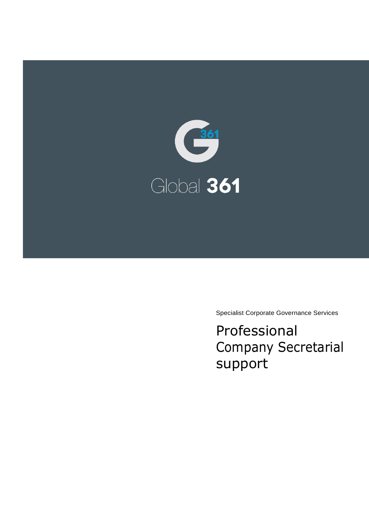

Specialist Corporate Governance Services

Professional Company Secretarial support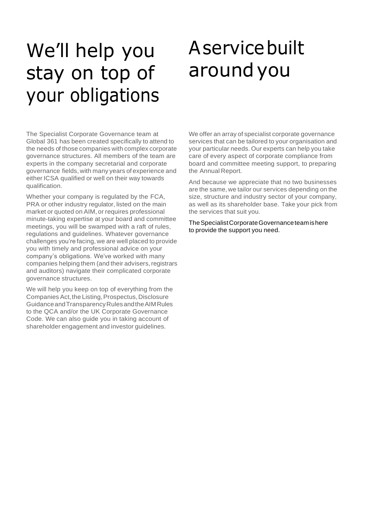# We'll help you stay on top of your obligations

# Aservicebuilt aroundyou

The Specialist Corporate Governance team at Global 361 has been created specifically to attend to the needs of those companies with complex corporate governance structures. All members of the team are experts in the company secretarial and corporate governance fields, with many years of experience and either ICSA qualified or well on their way towards qualification.

Whether your company is regulated by the FCA, PRA or other industry regulator, listed on the main market or quoted on AIM, or requires professional minute-taking expertise at your board and committee meetings, you will be swamped with a raft of rules, regulations and guidelines. Whatever governance challenges you're facing, we are well placed to provide you with timely and professional advice on your company's obligations. We've worked with many companies helping them (and their advisers, registrars and auditors) navigate their complicated corporate governance structures.

We will help you keep on top of everything from the Companies Act, the Listing, Prospectus, Disclosure GuidanceandTransparencyRulesandtheAIMRules to the QCA and/or the UK Corporate Governance Code. We can also guide you in taking account of shareholder engagement and investor guidelines.

We offer an array of specialist corporate governance services that can be tailored to your organisation and your particular needs. Our experts can help you take care of every aspect of corporate compliance from board and committee meeting support, to preparing the Annual Report.

And because we appreciate that no two businesses are the same, we tailor our services depending on the size, structure and industry sector of your company, as well as its shareholder base. Take your pick from the services that suit you.

TheSpecialistCorporateGovernanceteamishere to provide the support you need.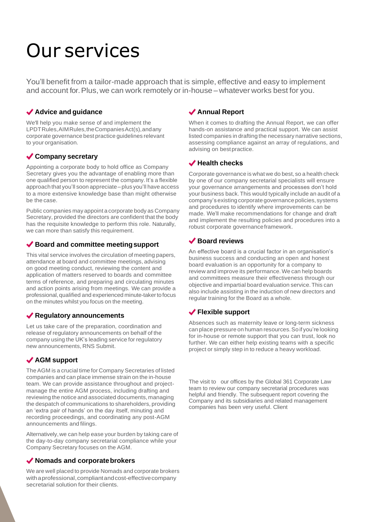# Our services

You'll benefit from a tailor-made approach that is simple, effective and easy to implement and account for.Plus,we can work remotely or in-house –whatever works best for you.

### **Advice and guidance**

We'll help you make sense of and implement the LPDTRules,AIMRules,theCompaniesAct(s),andany corporate governance best practice guidelines relevant to your organisation.

## **Company secretary**

Appointing a corporate body to hold office as Company Secretary gives you the advantage of enabling more than one qualified person to represent the company. It's a flexible approach that you'll soon appreciate–plus you'll have access to a more extensive knowledge base than might otherwise be the case.

Public companies may appoint a corporate body as Company Secretary, provided the directors are confident that the body has the requisite knowledge to perform this role. Naturally, we can more than satisfy this requirement.

#### ◆ Board and committee meeting support

This vital service involves the circulation of meeting papers, attendance at board and committee meetings, advising on good meeting conduct, reviewing the content and application of matters reserved to boards and committee terms of reference, and preparing and circulating minutes and action points arising from meetings. We can provide a professional,qualified and experienced minute-takerto focus on the minutes whilst you focus on the meeting.

## **Regulatory announcements**

Let us take care of the preparation, coordination and release of regulatory announcements on behalf of the company using the UK's leading service for regulatory new announcements, RNS Submit.

# **AGM support**

TheAGM is a crucial time for Company Secretaries of listed companies and can place immense strain on the in-house team. We can provide assistance throughout and projectmanage the entire AGM process, including drafting and reviewing the notice and associated documents,managing the despatch of communications to shareholders, providing an 'extra pair of hands' on the day itself, minuting and recording proceedings, and coordinating any post-AGM announcements and filings.

Alternatively,we can help ease your burden by taking care of the day-to-day company secretarial compliance while your Company Secretary focuses on the AGM.

#### ◆ Nomads and corporate brokers

We are well placed to provide Nomads and corporate brokers withaprofessional,compliantandcost-effectivecompany secretarial solution for their clients.

## **Annual Report**

When it comes to drafting the Annual Report, we can offer hands-on assistance and practical support. We can assist listed companies in drafting the necessary narrative sections, assessing compliance against an array of regulations, and advising on bestpractice.

# **Health checks**

Corporate governance is what we do best, so a health check by one of our company secretarial specialists will ensure your governance arrangements and processes don't hold your business back.This would typically include an audit of a company's existing corporate governance policies, systems and procedures to identify where improvements can be made. We'll make recommendations for change and draft and implement the resulting policies and procedures into a robust corporate governanceframework.

## **Board reviews**

An effective board is a crucial factor in an organisation's business success and conducting an open and honest board evaluation is an opportunity for a company to review and improve its performance. We can help boards and committees measure their effectiveness through our objective and impartial board evaluation service.This can also include assisting in the induction of new directors and regular training for the Board as a whole.

## **Flexible support**

Absences such as maternity leave or long-term sickness can place pressure on human resources.So ifyou're looking for in-house or remote support that you can trust, look no further. We can either help existing teams with a specific project or simply step in to reduce a heavy workload.

The visit to our offices by the Global 361 Corporate Law team to review our company secretarial procedures was helpful and friendly. The subsequent report covering the Company and its subsidiaries and related management companies has been very useful. Client